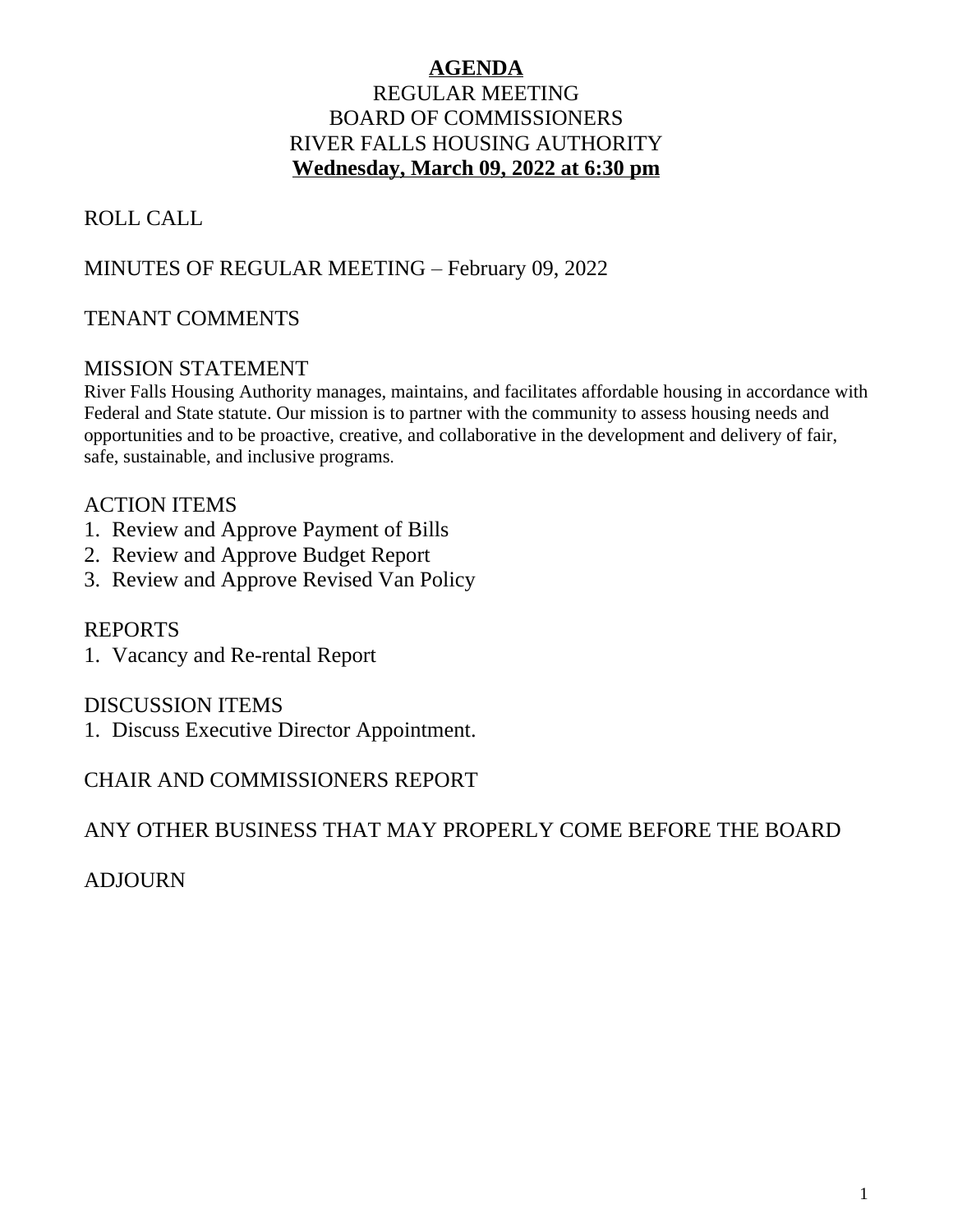## **AGENDA** REGULAR MEETING BOARD OF COMMISSIONERS RIVER FALLS HOUSING AUTHORITY **Wednesday, March 09, 2022 at 6:30 pm**

# ROLL CALL

# MINUTES OF REGULAR MEETING – February 09, 2022

# TENANT COMMENTS

### MISSION STATEMENT

River Falls Housing Authority manages, maintains, and facilitates affordable housing in accordance with Federal and State statute. Our mission is to partner with the community to assess housing needs and opportunities and to be proactive, creative, and collaborative in the development and delivery of fair, safe, sustainable, and inclusive programs.

## ACTION ITEMS

- 1. Review and Approve Payment of Bills
- 2. Review and Approve Budget Report
- 3. Review and Approve Revised Van Policy

### REPORTS

1. Vacancy and Re-rental Report

### DISCUSSION ITEMS

1. Discuss Executive Director Appointment.

## CHAIR AND COMMISSIONERS REPORT

ANY OTHER BUSINESS THAT MAY PROPERLY COME BEFORE THE BOARD

ADJOURN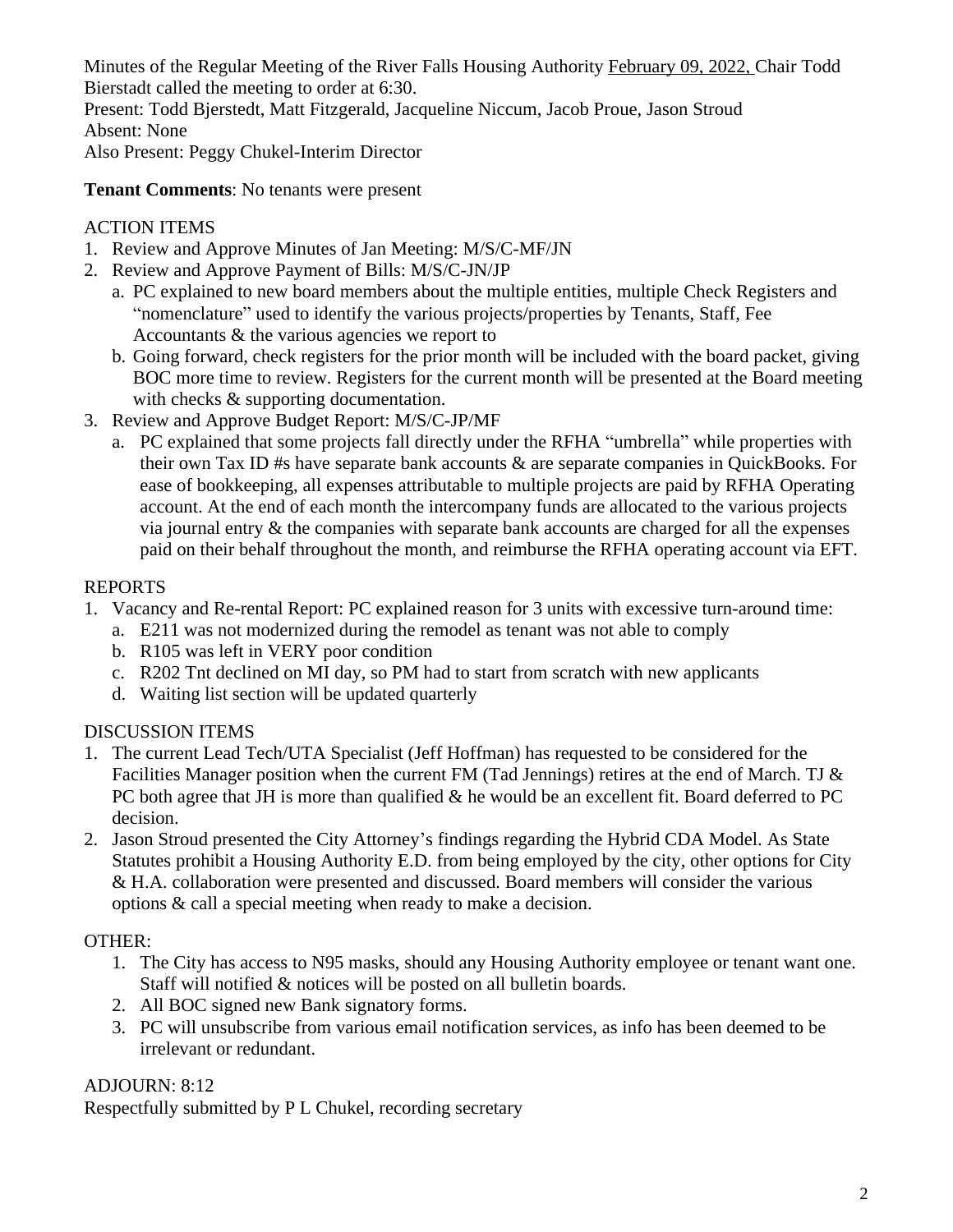Minutes of the Regular Meeting of the River Falls Housing Authority February 09, 2022, Chair Todd Bierstadt called the meeting to order at 6:30.

Present: Todd Bjerstedt, Matt Fitzgerald, Jacqueline Niccum, Jacob Proue, Jason Stroud Absent: None

Also Present: Peggy Chukel-Interim Director

**Tenant Comments**: No tenants were present

# ACTION ITEMS

- 1. Review and Approve Minutes of Jan Meeting: M/S/C-MF/JN
- 2. Review and Approve Payment of Bills: M/S/C-JN/JP
	- a. PC explained to new board members about the multiple entities, multiple Check Registers and "nomenclature" used to identify the various projects/properties by Tenants, Staff, Fee Accountants & the various agencies we report to
	- b. Going forward, check registers for the prior month will be included with the board packet, giving BOC more time to review. Registers for the current month will be presented at the Board meeting with checks  $&$  supporting documentation.
- 3. Review and Approve Budget Report: M/S/C-JP/MF
	- a. PC explained that some projects fall directly under the RFHA "umbrella" while properties with their own Tax ID #s have separate bank accounts  $\&$  are separate companies in QuickBooks. For ease of bookkeeping, all expenses attributable to multiple projects are paid by RFHA Operating account. At the end of each month the intercompany funds are allocated to the various projects via journal entry & the companies with separate bank accounts are charged for all the expenses paid on their behalf throughout the month, and reimburse the RFHA operating account via EFT.

## REPORTS

- 1. Vacancy and Re-rental Report: PC explained reason for 3 units with excessive turn-around time:
	- a. E211 was not modernized during the remodel as tenant was not able to comply
	- b. R105 was left in VERY poor condition
	- c. R202 Tnt declined on MI day, so PM had to start from scratch with new applicants
	- d. Waiting list section will be updated quarterly

## DISCUSSION ITEMS

- 1. The current Lead Tech/UTA Specialist (Jeff Hoffman) has requested to be considered for the Facilities Manager position when the current FM (Tad Jennings) retires at the end of March. TJ  $\&$ PC both agree that JH is more than qualified & he would be an excellent fit. Board deferred to PC decision.
- 2. Jason Stroud presented the City Attorney's findings regarding the Hybrid CDA Model. As State Statutes prohibit a Housing Authority E.D. from being employed by the city, other options for City & H.A. collaboration were presented and discussed. Board members will consider the various options & call a special meeting when ready to make a decision.

# OTHER:

- 1. The City has access to N95 masks, should any Housing Authority employee or tenant want one. Staff will notified & notices will be posted on all bulletin boards.
- 2. All BOC signed new Bank signatory forms.
- 3. PC will unsubscribe from various email notification services, as info has been deemed to be irrelevant or redundant.

# ADJOURN: 8:12

Respectfully submitted by P L Chukel, recording secretary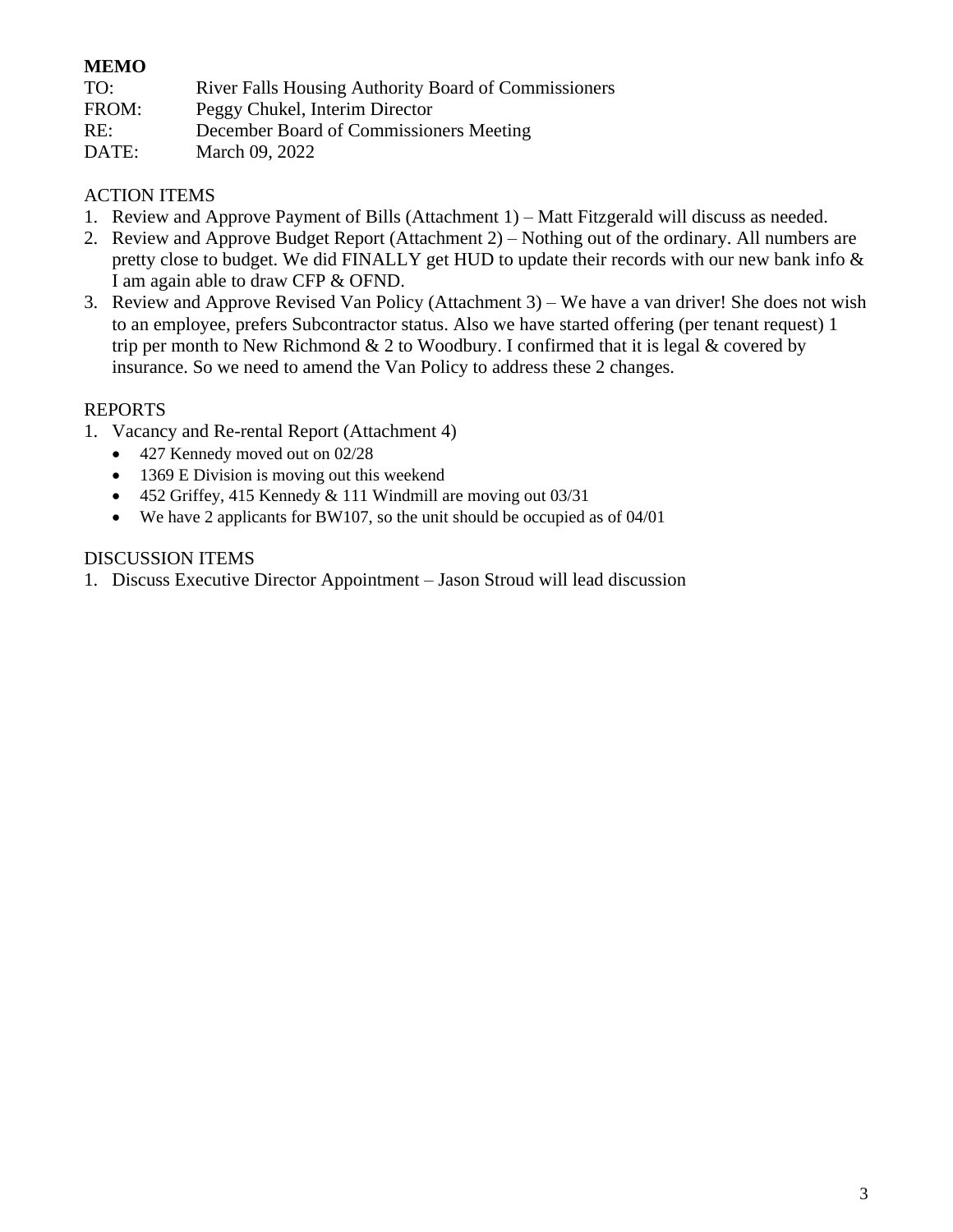### **MEMO**

| TO:   | <b>River Falls Housing Authority Board of Commissioners</b> |
|-------|-------------------------------------------------------------|
| FROM: | Peggy Chukel, Interim Director                              |
| RE:   | December Board of Commissioners Meeting                     |
| DATE: | March 09, 2022                                              |

### ACTION ITEMS

- 1. Review and Approve Payment of Bills (Attachment 1) Matt Fitzgerald will discuss as needed.
- 2. Review and Approve Budget Report (Attachment 2) Nothing out of the ordinary. All numbers are pretty close to budget. We did FINALLY get HUD to update their records with our new bank info & I am again able to draw CFP & OFND.
- 3. Review and Approve Revised Van Policy (Attachment 3) We have a van driver! She does not wish to an employee, prefers Subcontractor status. Also we have started offering (per tenant request) 1 trip per month to New Richmond  $& 2$  to Woodbury. I confirmed that it is legal  $& \infty$  covered by insurance. So we need to amend the Van Policy to address these 2 changes.

#### REPORTS

- 1. Vacancy and Re-rental Report (Attachment 4)
	- 427 Kennedy moved out on 02/28
	- 1369 E Division is moving out this weekend
	- 452 Griffey, 415 Kennedy & 111 Windmill are moving out 03/31
	- We have 2 applicants for BW107, so the unit should be occupied as of 04/01

#### DISCUSSION ITEMS

1. Discuss Executive Director Appointment – Jason Stroud will lead discussion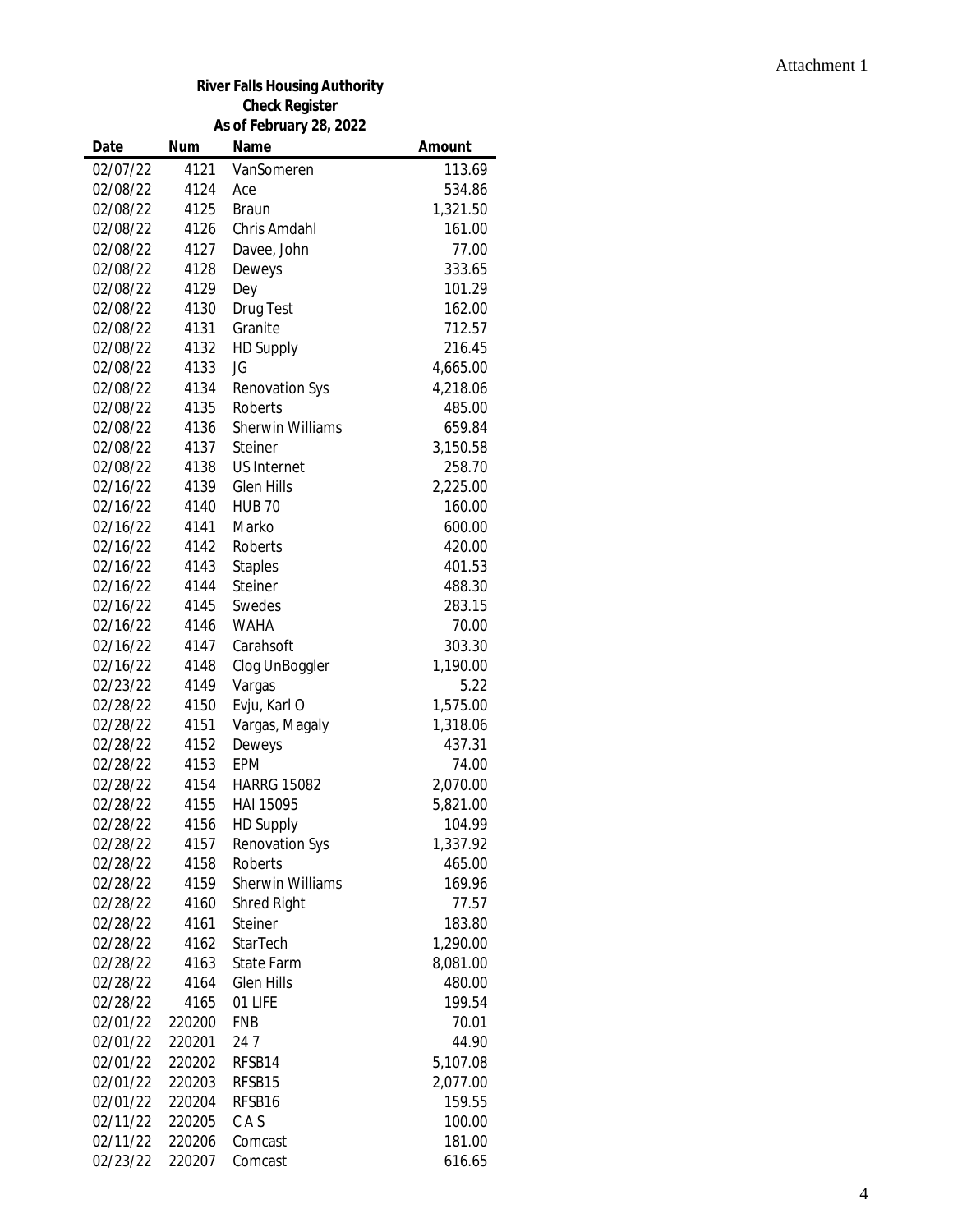#### Attachment 1

#### **River Falls Housing Authority Check Register As of February 28, 2022**

| Date     | <b>Num</b> | Name                    | Amount   |
|----------|------------|-------------------------|----------|
| 02/07/22 | 4121       | VanSomeren              | 113.69   |
| 02/08/22 | 4124       | Ace                     | 534.86   |
| 02/08/22 | 4125       | <b>Braun</b>            | 1,321.50 |
| 02/08/22 | 4126       | Chris Amdahl            | 161.00   |
| 02/08/22 | 4127       | Davee, John             | 77.00    |
| 02/08/22 | 4128       | Deweys                  | 333.65   |
| 02/08/22 | 4129       | Dey                     | 101.29   |
| 02/08/22 | 4130       | Drug Test               | 162.00   |
| 02/08/22 | 4131       | Granite                 | 712.57   |
| 02/08/22 | 4132       | <b>HD Supply</b>        | 216.45   |
| 02/08/22 | 4133       | JG                      | 4,665.00 |
| 02/08/22 | 4134       | Renovation Sys          | 4,218.06 |
| 02/08/22 | 4135       | Roberts                 | 485.00   |
| 02/08/22 | 4136       | <b>Sherwin Williams</b> | 659.84   |
| 02/08/22 | 4137       | Steiner                 | 3,150.58 |
| 02/08/22 | 4138       | <b>US Internet</b>      | 258.70   |
| 02/16/22 | 4139       | <b>Glen Hills</b>       | 2,225.00 |
| 02/16/22 | 4140       | <b>HUB 70</b>           | 160.00   |
| 02/16/22 | 4141       | Marko                   | 600.00   |
| 02/16/22 | 4142       | Roberts                 | 420.00   |
| 02/16/22 | 4143       | <b>Staples</b>          | 401.53   |
| 02/16/22 | 4144       | Steiner                 | 488.30   |
| 02/16/22 | 4145       | Swedes                  | 283.15   |
| 02/16/22 | 4146       | <b>WAHA</b>             | 70.00    |
| 02/16/22 | 4147       | Carahsoft               | 303.30   |
| 02/16/22 | 4148       | Clog UnBoggler          | 1,190.00 |
| 02/23/22 | 4149       | Vargas                  | 5.22     |
| 02/28/22 | 4150       | Evju, Karl O            | 1,575.00 |
| 02/28/22 | 4151       | Vargas, Magaly          | 1,318.06 |
| 02/28/22 | 4152       | Deweys                  | 437.31   |
| 02/28/22 | 4153       | <b>EPM</b>              | 74.00    |
| 02/28/22 | 4154       | <b>HARRG 15082</b>      | 2,070.00 |
| 02/28/22 | 4155       | HAI 15095               | 5,821.00 |
| 02/28/22 | 4156       | <b>HD Supply</b>        | 104.99   |
| 02/28/22 | 4157       | <b>Renovation Sys</b>   | 1,337.92 |
| 02/28/22 | 4158       | Roberts                 | 465.00   |
| 02/28/22 | 4159       | <b>Sherwin Williams</b> | 169.96   |
| 02/28/22 | 4160       | Shred Right             | 77.57    |
| 02/28/22 | 4161       | Steiner                 | 183.80   |
| 02/28/22 | 4162       | StarTech                | 1,290.00 |
| 02/28/22 | 4163       | <b>State Farm</b>       | 8,081.00 |
| 02/28/22 | 4164       | Glen Hills              | 480.00   |
| 02/28/22 | 4165       | 01 LIFE                 | 199.54   |
| 02/01/22 | 220200     | <b>FNB</b>              | 70.01    |
| 02/01/22 | 220201     | 247                     | 44.90    |
| 02/01/22 | 220202     | RFSB14                  | 5,107.08 |
| 02/01/22 | 220203     | RFSB15                  | 2,077.00 |
| 02/01/22 | 220204     | RFSB16                  | 159.55   |
| 02/11/22 | 220205     | CAS                     | 100.00   |
| 02/11/22 | 220206     | Comcast                 | 181.00   |
| 02/23/22 | 220207     | Comcast                 | 616.65   |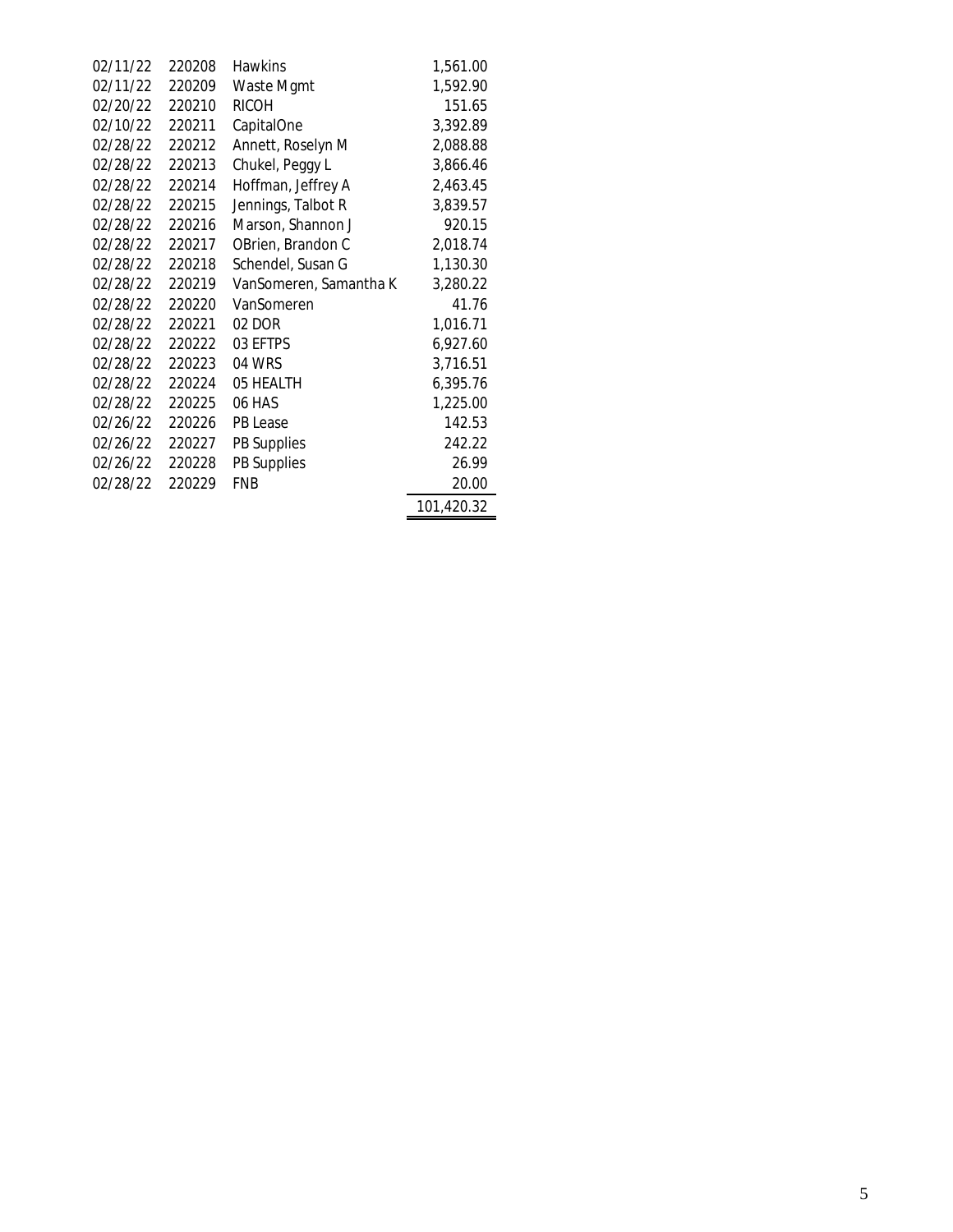| 02/11/22 | 220208 | <b>Hawkins</b>         | 1,561.00   |
|----------|--------|------------------------|------------|
| 02/11/22 | 220209 | Waste Mgmt             | 1,592.90   |
| 02/20/22 | 220210 | <b>RICOH</b>           | 151.65     |
| 02/10/22 | 220211 | CapitalOne             | 3,392.89   |
| 02/28/22 | 220212 | Annett, Roselyn M      | 2,088.88   |
| 02/28/22 | 220213 | Chukel, Peggy L        | 3,866.46   |
| 02/28/22 | 220214 | Hoffman, Jeffrey A     | 2,463.45   |
| 02/28/22 | 220215 | Jennings, Talbot R     | 3,839.57   |
| 02/28/22 | 220216 | Marson, Shannon J      | 920.15     |
| 02/28/22 | 220217 | OBrien, Brandon C      | 2,018.74   |
| 02/28/22 | 220218 | Schendel, Susan G      | 1,130.30   |
| 02/28/22 | 220219 | VanSomeren, Samantha K | 3,280.22   |
| 02/28/22 | 220220 | VanSomeren             | 41.76      |
| 02/28/22 | 220221 | 02 DOR                 | 1,016.71   |
| 02/28/22 | 220222 | 03 EFTPS               | 6,927.60   |
| 02/28/22 | 220223 | 04 WRS                 | 3,716.51   |
| 02/28/22 | 220224 | 05 HEALTH              | 6,395.76   |
| 02/28/22 | 220225 | 06 HAS                 | 1,225.00   |
| 02/26/22 | 220226 | PB Lease               | 142.53     |
| 02/26/22 | 220227 | PB Supplies            | 242.22     |
| 02/26/22 | 220228 | <b>PB Supplies</b>     | 26.99      |
| 02/28/22 | 220229 | FNB                    | 20.00      |
|          |        |                        | 101,420.32 |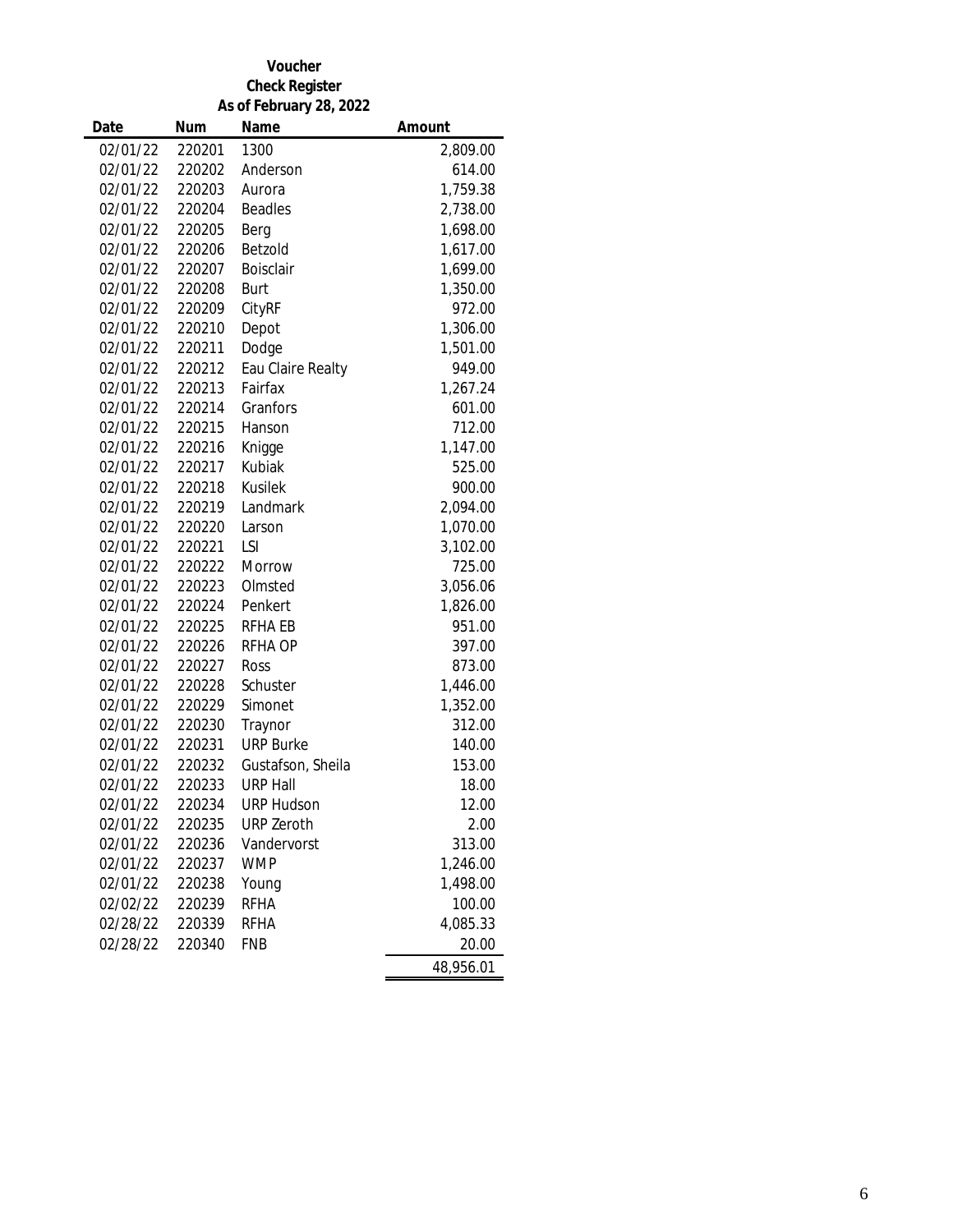#### **Voucher Check Register As of February 28, 2022**

| Date     | <b>Num</b> | Name              | Amount    |
|----------|------------|-------------------|-----------|
| 02/01/22 | 220201     | 1300              | 2,809.00  |
| 02/01/22 | 220202     | Anderson          | 614.00    |
| 02/01/22 | 220203     | Aurora            | 1,759.38  |
| 02/01/22 | 220204     | <b>Beadles</b>    | 2,738.00  |
| 02/01/22 | 220205     | Berg              | 1,698.00  |
| 02/01/22 | 220206     | Betzold           | 1,617.00  |
| 02/01/22 | 220207     | Boisclair         | 1,699.00  |
| 02/01/22 | 220208     | Burt              | 1,350.00  |
| 02/01/22 | 220209     | CityRF            | 972.00    |
| 02/01/22 | 220210     | Depot             | 1,306.00  |
| 02/01/22 | 220211     | Dodge             | 1,501.00  |
| 02/01/22 | 220212     | Eau Claire Realty | 949.00    |
| 02/01/22 | 220213     | Fairfax           | 1,267.24  |
| 02/01/22 | 220214     | Granfors          | 601.00    |
| 02/01/22 | 220215     | Hanson            | 712.00    |
| 02/01/22 | 220216     | Knigge            | 1,147.00  |
| 02/01/22 | 220217     | Kubiak            | 525.00    |
| 02/01/22 | 220218     | Kusilek           | 900.00    |
| 02/01/22 | 220219     | Landmark          | 2,094.00  |
| 02/01/22 | 220220     | Larson            | 1,070.00  |
| 02/01/22 | 220221     | LSI               | 3,102.00  |
| 02/01/22 | 220222     | Morrow            | 725.00    |
| 02/01/22 | 220223     | Olmsted           | 3,056.06  |
| 02/01/22 | 220224     | Penkert           | 1,826.00  |
| 02/01/22 | 220225     | RFHA EB           | 951.00    |
| 02/01/22 | 220226     | <b>RFHA OP</b>    | 397.00    |
| 02/01/22 | 220227     | Ross              | 873.00    |
| 02/01/22 | 220228     | Schuster          | 1,446.00  |
| 02/01/22 | 220229     | Simonet           | 1,352.00  |
| 02/01/22 | 220230     | Traynor           | 312.00    |
| 02/01/22 | 220231     | <b>URP Burke</b>  | 140.00    |
| 02/01/22 | 220232     | Gustafson, Sheila | 153.00    |
| 02/01/22 | 220233     | <b>URP Hall</b>   | 18.00     |
| 02/01/22 | 220234     | <b>URP Hudson</b> | 12.00     |
| 02/01/22 | 220235     | <b>URP Zeroth</b> | 2.00      |
| 02/01/22 | 220236     | Vandervorst       | 313.00    |
| 02/01/22 | 220237     | <b>WMP</b>        | 1,246.00  |
| 02/01/22 | 220238     | Young             | 1,498.00  |
| 02/02/22 | 220239     | <b>RFHA</b>       | 100.00    |
| 02/28/22 | 220339     | <b>RFHA</b>       | 4,085.33  |
| 02/28/22 | 220340     | <b>FNB</b>        | 20.00     |
|          |            |                   | 48,956.01 |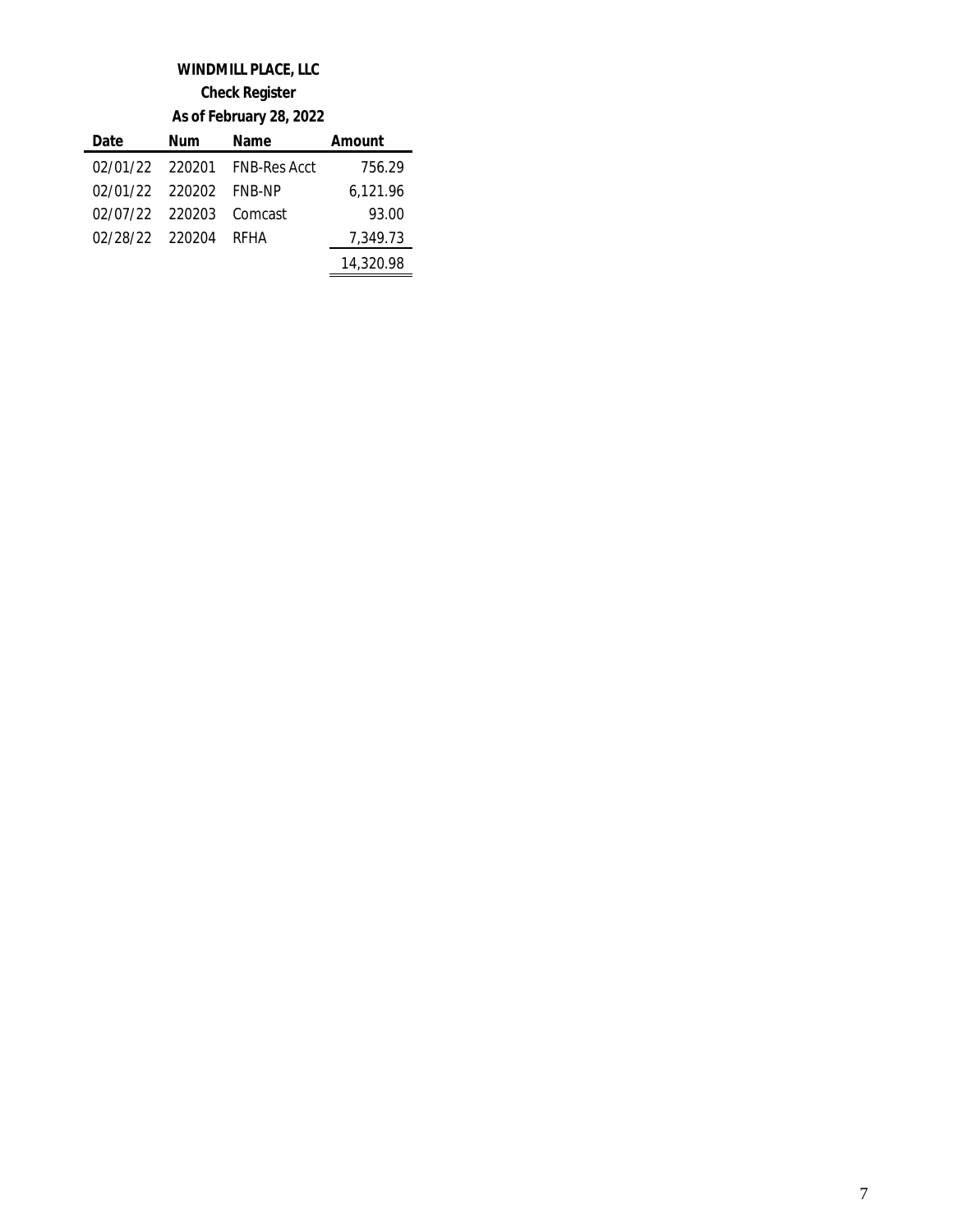### **WINDMILL PLACE, LLC**

**Check Register**

**As of February 28, 2022**

| Date                    | Num | Name                         | Amount    |
|-------------------------|-----|------------------------------|-----------|
|                         |     | 02/01/22 220201 FNB-Res Acct | 756.29    |
| 02/01/22 220202 FNB-NP  |     |                              | 6,121.96  |
| 02/07/22 220203 Comcast |     |                              | 93.00     |
| 02/28/22 220204 RFHA    |     |                              | 7.349.73  |
|                         |     |                              | 14,320.98 |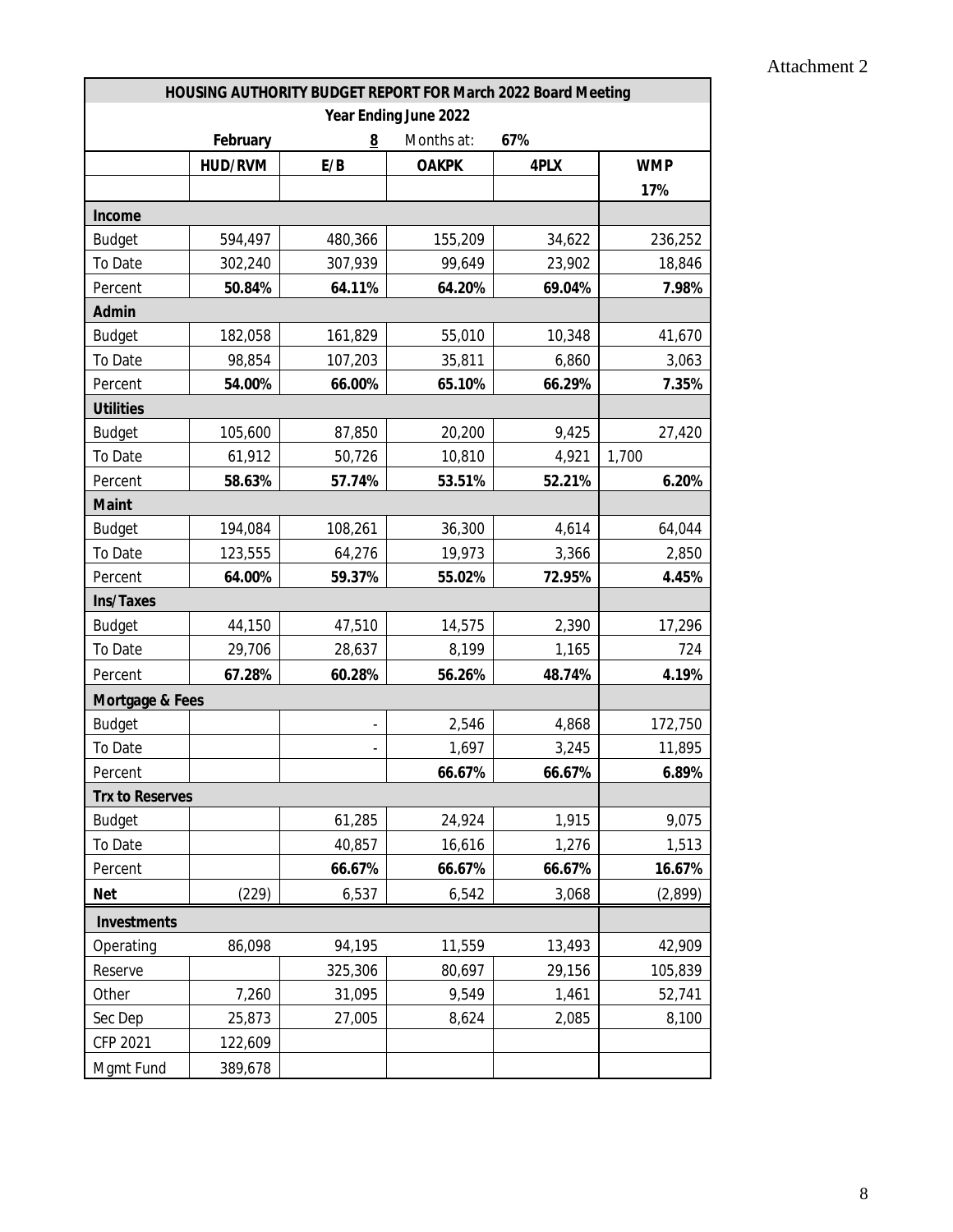| HOUSING AUTHORITY BUDGET REPORT FOR March 2022 Board Meeting |                |                 |              |        |            |  |
|--------------------------------------------------------------|----------------|-----------------|--------------|--------|------------|--|
| Year Ending June 2022                                        |                |                 |              |        |            |  |
|                                                              | February       | $\underline{8}$ | Months at:   | 67%    |            |  |
|                                                              | <b>HUD/RVM</b> | E/B             | <b>OAKPK</b> | 4PLX   | <b>WMP</b> |  |
|                                                              |                |                 |              |        | 17%        |  |
| Income                                                       |                |                 |              |        |            |  |
| <b>Budget</b>                                                | 594,497        | 480,366         | 155,209      | 34,622 | 236,252    |  |
| To Date                                                      | 302,240        | 307,939         | 99,649       | 23,902 | 18,846     |  |
| Percent                                                      | 50.84%         | 64.11%          | 64.20%       | 69.04% | 7.98%      |  |
| <b>Admin</b>                                                 |                |                 |              |        |            |  |
| <b>Budget</b>                                                | 182,058        | 161,829         | 55,010       | 10,348 | 41,670     |  |
| To Date                                                      | 98,854         | 107,203         | 35,811       | 6,860  | 3,063      |  |
| Percent                                                      | 54.00%         | 66.00%          | 65.10%       | 66.29% | 7.35%      |  |
| <b>Utilities</b>                                             |                |                 |              |        |            |  |
| <b>Budget</b>                                                | 105,600        | 87,850          | 20,200       | 9,425  | 27,420     |  |
| To Date                                                      | 61,912         | 50,726          | 10,810       | 4,921  | 1,700      |  |
| Percent                                                      | 58.63%         | 57.74%          | 53.51%       | 52.21% | 6.20%      |  |
| <b>Maint</b>                                                 |                |                 |              |        |            |  |
| <b>Budget</b>                                                | 194,084        | 108,261         | 36,300       | 4,614  | 64,044     |  |
| To Date                                                      | 123,555        | 64,276          | 19,973       | 3,366  | 2,850      |  |
| Percent                                                      | 64.00%         | 59.37%          | 55.02%       | 72.95% | 4.45%      |  |
| <b>Ins/Taxes</b>                                             |                |                 |              |        |            |  |
| <b>Budget</b>                                                | 44,150         | 47,510          | 14,575       | 2,390  | 17,296     |  |
| To Date                                                      | 29,706         | 28,637          | 8,199        | 1,165  | 724        |  |
| Percent                                                      | 67.28%         | 60.28%          | 56.26%       | 48.74% | 4.19%      |  |
| Mortgage & Fees                                              |                |                 |              |        |            |  |
| <b>Budget</b>                                                |                |                 | 2,546        | 4,868  | 172,750    |  |
| To Date                                                      |                |                 | 1,697        | 3,245  | 11,895     |  |
| Percent                                                      |                |                 | 66.67%       | 66.67% | 6.89%      |  |
| <b>Trx to Reserves</b>                                       |                |                 |              |        |            |  |
| <b>Budget</b>                                                |                | 61,285          | 24,924       | 1,915  | 9,075      |  |
| To Date                                                      |                | 40,857          | 16,616       | 1,276  | 1,513      |  |
| Percent                                                      |                | 66.67%          | 66.67%       | 66.67% | 16.67%     |  |
| <b>Net</b>                                                   | (229)          | 6,537           | 6,542        | 3,068  | (2,899)    |  |
| Investments                                                  |                |                 |              |        |            |  |
| Operating                                                    | 86,098         | 94,195          | 11,559       | 13,493 | 42,909     |  |
| Reserve                                                      |                | 325,306         | 80,697       | 29,156 | 105,839    |  |
| Other                                                        | 7,260          | 31,095          | 9,549        | 1,461  | 52,741     |  |
| Sec Dep                                                      | 25,873         | 27,005          | 8,624        | 2,085  | 8,100      |  |
| CFP 2021                                                     | 122,609        |                 |              |        |            |  |
| Mgmt Fund                                                    | 389,678        |                 |              |        |            |  |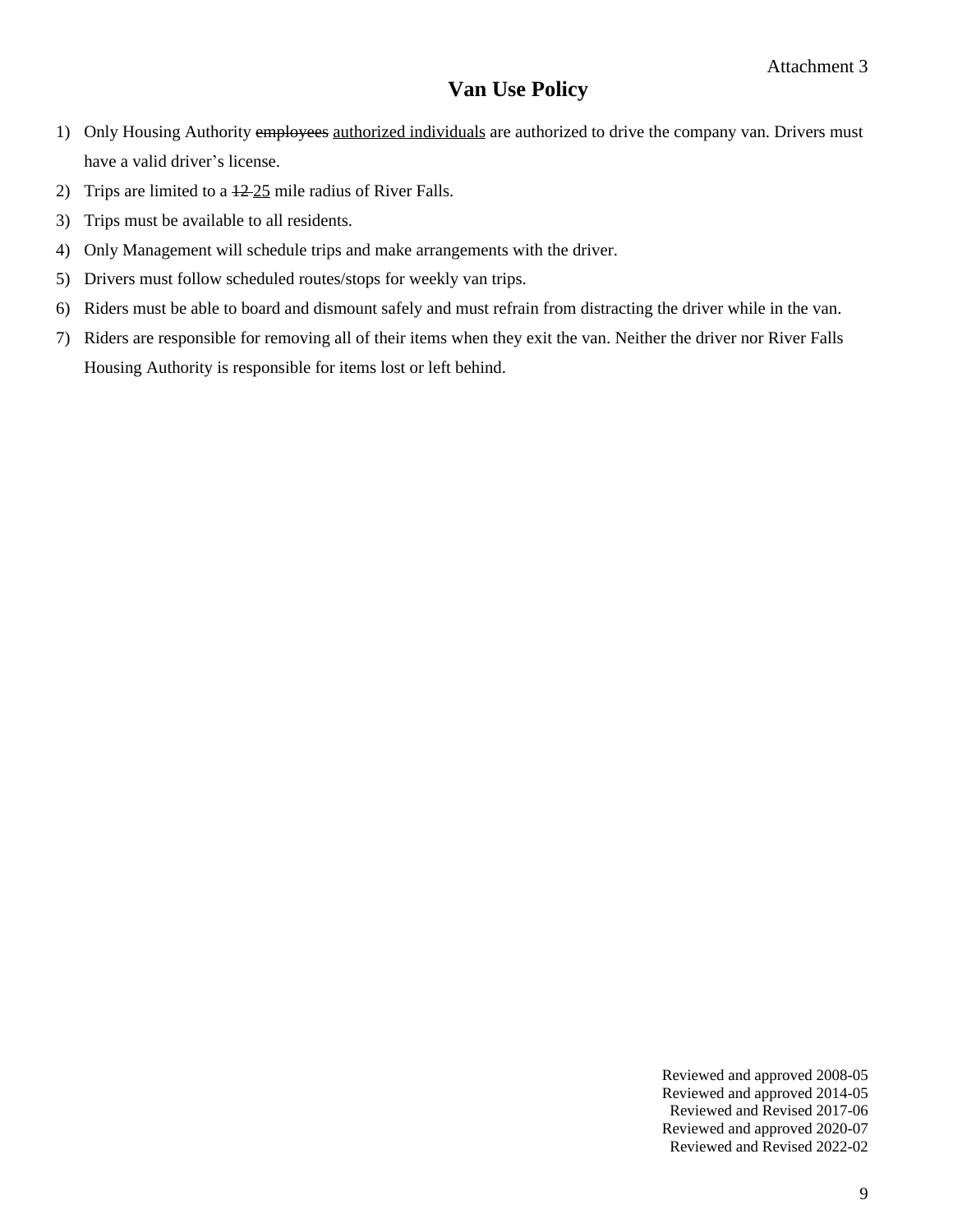### **Van Use Policy**

- 1) Only Housing Authority employees authorized individuals are authorized to drive the company van. Drivers must have a valid driver's license.
- 2) Trips are limited to a  $\frac{12-25}{2}$  mile radius of River Falls.
- 3) Trips must be available to all residents.
- 4) Only Management will schedule trips and make arrangements with the driver.
- 5) Drivers must follow scheduled routes/stops for weekly van trips.
- 6) Riders must be able to board and dismount safely and must refrain from distracting the driver while in the van.
- 7) Riders are responsible for removing all of their items when they exit the van. Neither the driver nor River Falls Housing Authority is responsible for items lost or left behind.